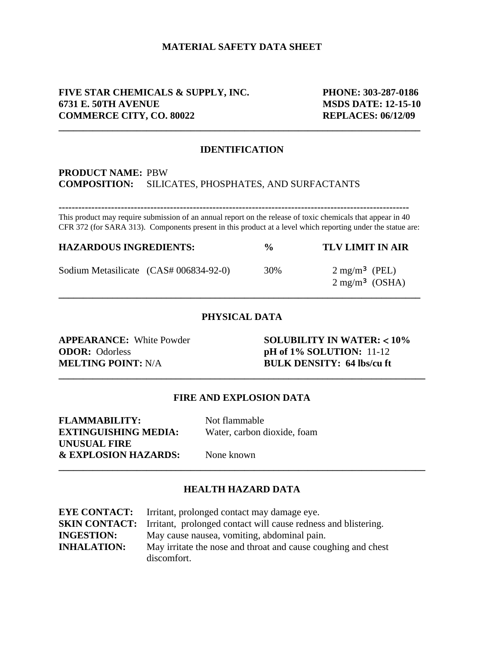## **MATERIAL SAFETY DATA SHEET**

#### **FIVE STAR CHEMICALS & SUPPLY, INC. PHONE: 303-287-0186 6731 E. 50TH AVENUE MSDS DATE: 12-15-10 COMMERCE CITY, CO. 80022 REPLACES: 06/12/09**

#### **IDENTIFICATION**

**\_\_\_\_\_\_\_\_\_\_\_\_\_\_\_\_\_\_\_\_\_\_\_\_\_\_\_\_\_\_\_\_\_\_\_\_\_\_\_\_\_\_\_\_\_\_\_\_\_\_\_\_\_\_\_\_\_\_\_\_\_\_\_\_\_\_\_\_\_\_\_\_\_\_**

# **PRODUCT NAME:** PBW **COMPOSITION:** SILICATES, PHOSPHATES, AND SURFACTANTS

**-----------------------------------------------------------------------------------------------------------**

This product may require submission of an annual report on the release of toxic chemicals that appear in 40 CFR 372 (for SARA 313). Components present in this product at a level which reporting under the statue are:

| <b>HAZARDOUS INGREDIENTS:</b> |                                        | $\frac{6}{9}$ | <b>TLV LIMIT IN AIR</b>                               |
|-------------------------------|----------------------------------------|---------------|-------------------------------------------------------|
|                               | Sodium Metasilicate (CAS# 006834-92-0) | 30%           | $2 \text{ mg/m}^3$ (PEL)<br>$2 \text{ mg/m}^3$ (OSHA) |

#### **PHYSICAL DATA**

**ODOR:** Odorless **pH of 1% SOLUTION:** 11-12 **MELTING POINT:** N/A **BULK DENSITY: 64 lbs/cu ft** 

**APPEARANCE:** White Powder **SOLUBILITY IN WATER: 10%**

#### **FIRE AND EXPLOSION DATA**

**\_\_\_\_\_\_\_\_\_\_\_\_\_\_\_\_\_\_\_\_\_\_\_\_\_\_\_\_\_\_\_\_\_\_\_\_\_\_\_\_\_\_\_\_\_\_\_\_\_\_\_\_\_\_\_\_\_\_\_\_\_\_\_\_\_\_\_\_\_\_\_\_\_\_\_**

**FLAMMABILITY:** Not flammable **EXTINGUISHING MEDIA:** Water, carbon dioxide, foam **UNUSUAL FIRE & EXPLOSION HAZARDS:** None known

#### **HEALTH HAZARD DATA**

**\_\_\_\_\_\_\_\_\_\_\_\_\_\_\_\_\_\_\_\_\_\_\_\_\_\_\_\_\_\_\_\_\_\_\_\_\_\_\_\_\_\_\_\_\_\_\_\_\_\_\_\_\_\_\_\_\_\_\_\_\_\_\_\_\_\_\_\_\_\_\_\_\_\_\_**

|                    | <b>EYE CONTACT:</b> Irritant, prolonged contact may damage eye.                     |
|--------------------|-------------------------------------------------------------------------------------|
|                    | <b>SKIN CONTACT:</b> Irritant, prolonged contact will cause redness and blistering. |
| <b>INGESTION:</b>  | May cause nausea, vomiting, abdominal pain.                                         |
| <b>INHALATION:</b> | May irritate the nose and throat and cause coughing and chest                       |
|                    | discomfort.                                                                         |